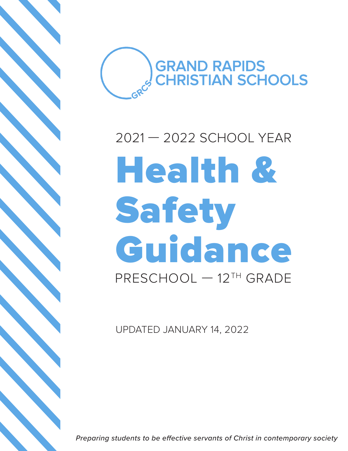

## Health & Safety Guidance PRESCHOOL — 12TH GRADE 2021 — 2022 SCHOOL YEAR

UPDATED JANUARY 14, 2022

*Preparing students to be effective servants of Christ in contemporary society*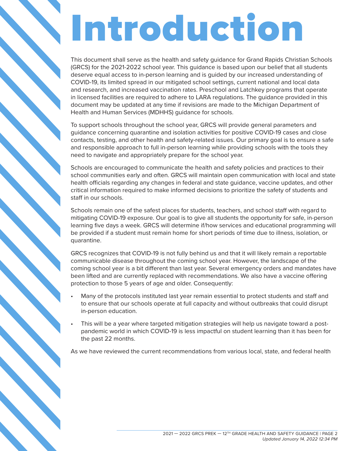# Introduction

This document shall serve as the health and safety guidance for Grand Rapids Christian Schools (GRCS) for the 2021-2022 school year. This guidance is based upon our belief that all students deserve equal access to in-person learning and is guided by our increased understanding of COVID-19, its limited spread in our mitigated school settings, current national and local data and research, and increased vaccination rates. Preschool and Latchkey programs that operate in licensed facilities are required to adhere to LARA regulations. The guidance provided in this document may be updated at any time if revisions are made to the Michigan Department of Health and Human Services (MDHHS) guidance for schools.

To support schools throughout the school year, GRCS will provide general parameters and guidance concerning quarantine and isolation activities for positive COVID-19 cases and close contacts, testing, and other health and safety-related issues. Our primary goal is to ensure a safe and responsible approach to full in-person learning while providing schools with the tools they need to navigate and appropriately prepare for the school year.

Schools are encouraged to communicate the health and safety policies and practices to their school communities early and often. GRCS will maintain open communication with local and state health officials regarding any changes in federal and state guidance, vaccine updates, and other critical information required to make informed decisions to prioritize the safety of students and staff in our schools.

Schools remain one of the safest places for students, teachers, and school staff with regard to mitigating COVID-19 exposure. Our goal is to give all students the opportunity for safe, in-person learning five days a week. GRCS will determine if/how services and educational programming will be provided if a student must remain home for short periods of time due to illness, isolation, or quarantine.

GRCS recognizes that COVID-19 is not fully behind us and that it will likely remain a reportable communicable disease throughout the coming school year. However, the landscape of the coming school year is a bit different than last year. Several emergency orders and mandates have been lifted and are currently replaced with recommendations. We also have a vaccine offering protection to those 5 years of age and older. Consequently:

- Many of the protocols instituted last year remain essential to protect students and staff and to ensure that our schools operate at full capacity and without outbreaks that could disrupt in-person education.
- This will be a year where targeted mitigation strategies will help us navigate toward a postpandemic world in which COVID-19 is less impactful on student learning than it has been for the past 22 months.

As we have reviewed the current recommendations from various local, state, and federal health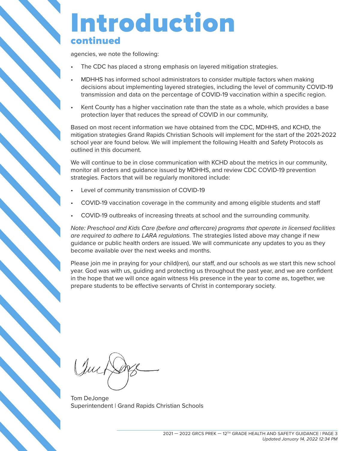#### Introduction continued

agencies, we note the following:

- The CDC has placed a strong emphasis on layered mitigation strategies.
- MDHHS has informed school administrators to consider multiple factors when making decisions about implementing layered strategies, including the level of community COVID-19 transmission and data on the percentage of COVID-19 vaccination within a specific region.
- Kent County has a higher vaccination rate than the state as a whole, which provides a base protection layer that reduces the spread of COVID in our community,

Based on most recent information we have obtained from the CDC, MDHHS, and KCHD, the mitigation strategies Grand Rapids Christian Schools will implement for the start of the 2021-2022 school year are found below. We will implement the following Health and Safety Protocols as outlined in this document.

We will continue to be in close communication with KCHD about the metrics in our community, monitor all orders and guidance issued by MDHHS, and review CDC COVID-19 prevention strategies. Factors that will be regularly monitored include:

- Level of community transmission of COVID-19
- COVID-19 vaccination coverage in the community and among eligible students and staff
- COVID-19 outbreaks of increasing threats at school and the surrounding community.

*Note: Preschool and Kids Care (before and aftercare) programs that operate in licensed facilities are required to adhere to LARA regulations.* The strategies listed above may change if new guidance or public health orders are issued. We will communicate any updates to you as they become available over the next weeks and months.

Please join me in praying for your child(ren), our staff, and our schools as we start this new school year. God was with us, guiding and protecting us throughout the past year, and we are confident in the hope that we will once again witness His presence in the year to come as, together, we prepare students to be effective servants of Christ in contemporary society.

Quet

Tom DeJonge Superintendent | Grand Rapids Christian Schools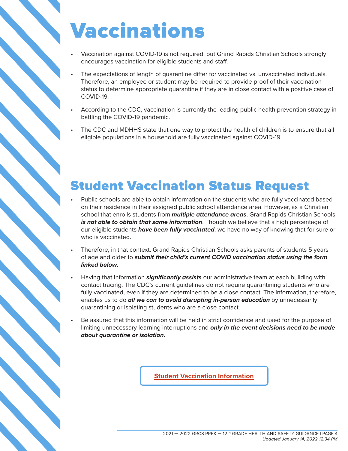## Vaccinations

- Vaccination against COVID-19 is not required, but Grand Rapids Christian Schools strongly encourages vaccination for eligible students and staff.
- The expectations of length of quarantine differ for vaccinated vs. unvaccinated individuals. Therefore, an employee or student may be required to provide proof of their vaccination status to determine appropriate quarantine if they are in close contact with a positive case of COVID-19.
- According to the CDC, vaccination is currently the leading public health prevention strategy in battling the COVID-19 pandemic.
- The CDC and MDHHS state that one way to protect the health of children is to ensure that all eligible populations in a household are fully vaccinated against COVID-19.

#### Student Vaccination Status Request

- Public schools are able to obtain information on the students who are fully vaccinated based on their residence in their assigned public school attendance area. However, as a Christian school that enrolls students from *multiple attendance areas*, Grand Rapids Christian Schools *is not able to obtain that same information*. Though we believe that a high percentage of our eligible students *have been fully vaccinated*, we have no way of knowing that for sure or who is vaccinated.
- Therefore, in that context, Grand Rapids Christian Schools asks parents of students 5 years of age and older to *submit their child's current COVID vaccination status using the form linked below*.
- Having that information *significantly assists* our administrative team at each building with contact tracing. The CDC's current guidelines do not require quarantining students who are fully vaccinated, even if they are determined to be a close contact. The information, therefore, enables us to do *all we can to avoid disrupting in-person education* by unnecessarily quarantining or isolating students who are a close contact.
- Be assured that this information will be held in strict confidence and used for the purpose of limiting unnecessary learning interruptions and *only in the event decisions need to be made about quarantine or isolation.*

**Student Vaccination Information**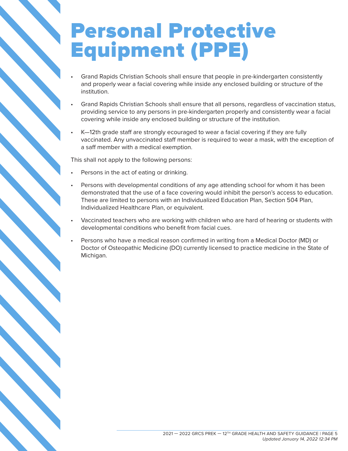#### Personal Protective Equipment (PPE)

- Grand Rapids Christian Schools shall ensure that people in pre-kindergarten consistently and properly wear a facial covering while inside any enclosed building or structure of the institution.
- Grand Rapids Christian Schools shall ensure that all persons, regardless of vaccination status, providing service to any persons in pre-kindergarten properly and consistently wear a facial covering while inside any enclosed building or structure of the institution.
- K—12th grade staff are strongly ecouraged to wear a facial covering if they are fully vaccinated. Any unvaccinated staff member is required to wear a mask, with the exception of a saff member with a medical exemption.

This shall not apply to the following persons:

- Persons in the act of eating or drinking.
- Persons with developmental conditions of any age attending school for whom it has been demonstrated that the use of a face covering would inhibit the person's access to education. These are limited to persons with an Individualized Education Plan, Section 504 Plan, Individualized Healthcare Plan, or equivalent.
- Vaccinated teachers who are working with children who are hard of hearing or students with developmental conditions who benefit from facial cues.
- Persons who have a medical reason confirmed in writing from a Medical Doctor (MD) or Doctor of Osteopathic Medicine (DO) currently licensed to practice medicine in the State of Michigan.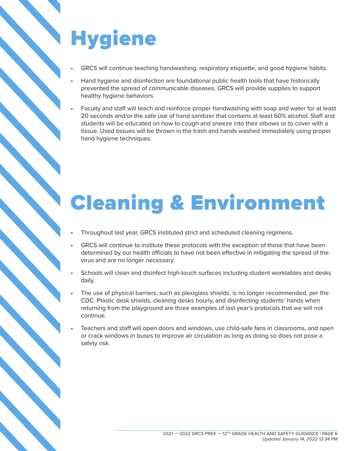## **Hygiene**

- GRCS will continue teaching handwashing, respiratory etiquette, and good hygiene habits.
- Hand hygiene and disinfection are foundational public health tools that have historically prevented the spread of communicable diseases. GRCS will provide supplies to support healthy hygiene behaviors.
- Faculty and staff will teach and reinforce proper handwashing with soap and water for at least 20 seconds and/or the safe use of hand sanitizer that contains at least 60% alcohol. Staff and students will be educated on how to cough and sneeze into their elbows or to cover with a tissue. Used tissues will be thrown in the trash and hands washed immediately using proper hand hygiene techniques.

## Cleaning & Environment

- Throughout last year, GRCS instituted strict and scheduled cleaning regimens.
- GRCS will continue to institute these protocols with the exception of those that have been determined by our health officials to have not been effective in mitigating the spread of the virus and are no longer necessary.
- Schools will clean and disinfect high-touch surfaces including student worktables and desks daily.
- The use of physical barriers, such as plexiglass shields, is no longer recommended, per the CDC. Plastic desk shields, cleaning desks hourly, and disinfecting students' hands when returning from the playground are three examples of last year's protocols that we will not continue.
- Teachers and staff will open doors and windows, use child-safe fans in classrooms, and open or crack windows in buses to improve air circulation as long as doing so does not pose a safety risk.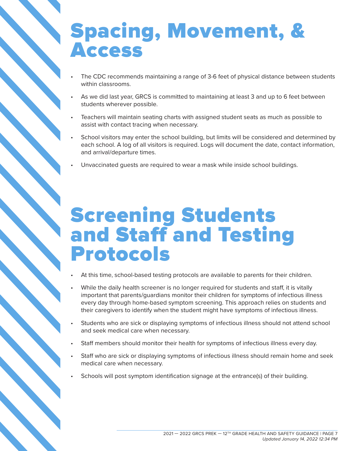#### Spacing, Movement, & Access

- The CDC recommends maintaining a range of 3-6 feet of physical distance between students within classrooms.
- As we did last year, GRCS is committed to maintaining at least 3 and up to 6 feet between students wherever possible.
- Teachers will maintain seating charts with assigned student seats as much as possible to assist with contact tracing when necessary.
- School visitors may enter the school building, but limits will be considered and determined by each school. A log of all visitors is required. Logs will document the date, contact information, and arrival/departure times.
- Unvaccinated guests are required to wear a mask while inside school buildings.

#### Screening Students and Staff and Testing Protocols

- At this time, school-based testing protocols are available to parents for their children.
- While the daily health screener is no longer required for students and staff, it is vitally important that parents/guardians monitor their children for symptoms of infectious illness every day through home-based symptom screening. This approach relies on students and their caregivers to identify when the student might have symptoms of infectious illness.
- Students who are sick or displaying symptoms of infectious illness should not attend school and seek medical care when necessary.
- Staff members should monitor their health for symptoms of infectious illness every day.
- Staff who are sick or displaying symptoms of infectious illness should remain home and seek medical care when necessary.
- Schools will post symptom identification signage at the entrance(s) of their building.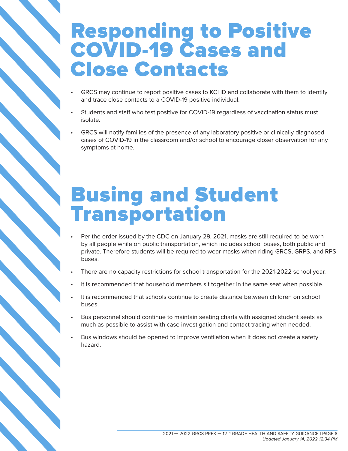#### Responding to Positive COVID-19 Cases and Close Contacts

- GRCS may continue to report positive cases to KCHD and collaborate with them to identify and trace close contacts to a COVID-19 positive individual.
- Students and staff who test positive for COVID-19 regardless of vaccination status must isolate.
- GRCS will notify families of the presence of any laboratory positive or clinically diagnosed cases of COVID-19 in the classroom and/or school to encourage closer observation for any symptoms at home.

#### Busing and Student Transportation

- Per the order issued by the CDC on January 29, 2021, masks are still required to be worn by all people while on public transportation, which includes school buses, both public and private. Therefore students will be required to wear masks when riding GRCS, GRPS, and RPS buses.
- There are no capacity restrictions for school transportation for the 2021-2022 school year.
- It is recommended that household members sit together in the same seat when possible.
- It is recommended that schools continue to create distance between children on school buses.
- Bus personnel should continue to maintain seating charts with assigned student seats as much as possible to assist with case investigation and contact tracing when needed.
- Bus windows should be opened to improve ventilation when it does not create a safety hazard.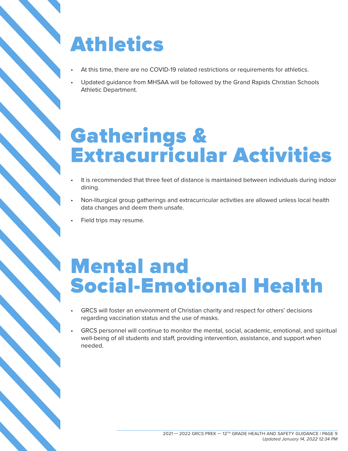### Athletics

- At this time, there are no COVID-19 related restrictions or requirements for athletics.
- Updated guidance from MHSAA will be followed by the Grand Rapids Christian Schools Athletic Department.

#### Gatherings & Extracurricular Activities

- It is recommended that three feet of distance is maintained between individuals during indoor dining.
- Non-liturgical group gatherings and extracurricular activities are allowed unless local health data changes and deem them unsafe.
- Field trips may resume.

#### Mental and Social-Emotional Health

- GRCS will foster an environment of Christian charity and respect for others' decisions regarding vaccination status and the use of masks.
- GRCS personnel will continue to monitor the mental, social, academic, emotional, and spiritual well-being of all students and staff, providing intervention, assistance, and support when needed.